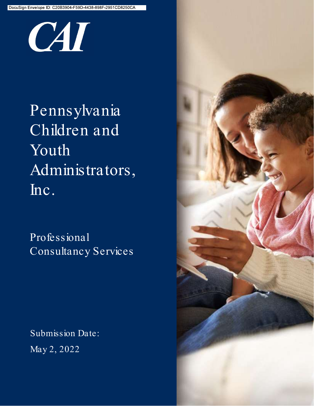

# Pennsylvania Children and Youth Administrators, Inc.

Professional Consultancy Services

Submission Date: May 2, 2022

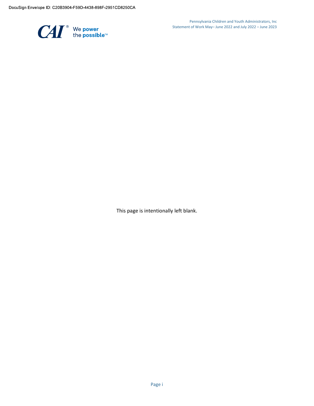

This page is intentionally left blank.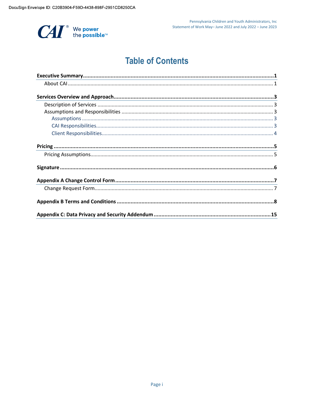

## **Table of Contents**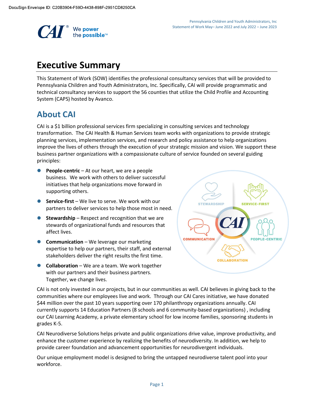

### Executive Summary

Fennsylvania Children and Youth Administrators, Inc<br>
This Statement of Work May-June 2022 and July 2022 - June 2023<br>
This Statement of Work (SOW) identifies the professional consultancy services that will be provided to<br>
T Pennsylvania Children and Youth Administrators, Inc.<br> **EXECUTIVE SUMMATY**<br> **EXECUTIVE SUMMATY**<br>
This Statement of Work (SOW) identifies the professional consultancy services that will be provided to<br>
Pennsylvania Children technical consultancy services to support the 56 counties that utilize the Child Profile and Accounting Statement of Work May-June 2022 and<br>
Statement of Work May-June 2022 and<br>
Statement of Work May-June 2022 and<br>
Statement of Work May-June 2022 and<br>
Statement of Work (SOW) identifies the professional consultancy services t

### About CAI

CAI is a \$1 billion professional services firm specializing in consulting services and technology transformation. The CAI Health & Human Services team works with organizations to provide strategic **EXECUTIVE Summary**<br>
<sup>Pannsylvania Children and Youth May-June 2022 and July 2022 - une 2023<br> **EXECUTIVE SUMMARY**<br>
This Statement of Work (SOW) identifies the professional consultancy services that will be provided to<br>
Pen</sup> **Executive Summary**<br> **Executive Summary**<br> **Executive Summary**<br> **Executive Summary**<br> **Executive Summary**<br>
This Statement of Work (SOW) identifies the professional consultancy services that will be provided to<br>
Pennsylvania **Executive Summary**<br>
the possible "<br>
the possible "<br> **Executive Summary**<br>
This Statement of Work (SOW) identifies the professional consultancy services that will be provided to<br>
Pennsylvania Children and Youth Administrato principles: **ECULTIVE SUMMARY**<br>
Statement of Work (SOW) identifies the professional consultancy services that will be programm<br>
shylvania Children and Youth Administrators, Inc. Specifically, CAI will provide programm<br>
nincal consulta em (CAPS) hosted by Avanco.<br> **Step 3** is a 31 billion professional services firm specializing in consulting services and technomion. The CAI Health & Human Services team works with organizations to promove the lives of oth

- **People-centric** At our heart, we are a people business. We work with others to deliver successful supporting others.
- **Service-first** We live to serve. We work with our **SERVALL STEWARD SHIP** partners to deliver services to help those most in need.
- Stewardship Respect and recognition that we are affect lives.
- **Communication** We leverage our marketing expertise to help our partners, their staff, and external stakeholders deliver the right results the first time.
- $\bullet$  Collaboration We are a team. We work together Together, we change lives.



CAI is not only invested in our projects, but in our communities as well. CAI believes in giving back to the communities where our employees live and work. Through our CAI Cares initiative, we have donated \$44 million over the past 10 years supporting over 170 philanthropy organizations annually. CAI currently supports 14 Education Partners (8 schools and 6 community-based organizations) , including our CAI Learning Academy, a private elementary school for low income families, sponsoring students in grades K-5.

CAI Neurodiverse Solutions helps private and public organizations drive value, improve productivity, and enhance the customer experience by realizing the benefits of neurodiversity. In addition, we help to provide career foundation and advancement opportunities for neurodivergent individuals.

Our unique employment model is designed to bring the untapped neurodiverse talent pool into your workforce.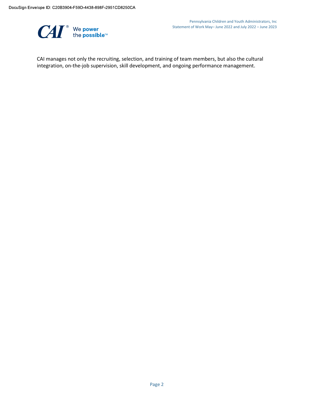

CAI manages not only the recruiting, selection, and training of team members, but also the cultural integration, on-the-job supervision, skill development, and ongoing performance management.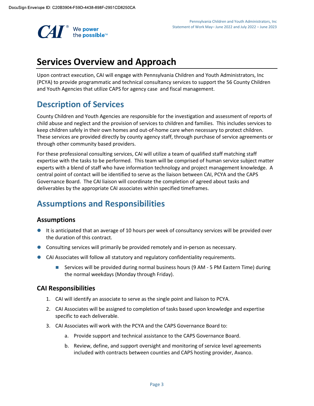

### Services Overview and Approach

Upon contract execution, CAI will engage with Pennsylvania Children and Youth Administrators, Inc (PCYA) to provide programmatic and technical consultancy services to support the 56 County Children and Youth Agencies that utilize CAPS for agency case and fiscal management.

Chinary Control of Services are responsible for the investigation and familiar children and Youth Administrator the possible "<br>
Statement of Work May-June 2022 and July 2013<br>
Dupon contract execution, CAI will engage with For D. C2083904-F89D-4438-898F-2951CD8250CA<br>
Formsphering Children and Youth Administrators, Inc<br>
Countries are responsible "<br>
Statement of Work May-June 2023 and July 2022 - June 2023<br>
Upon contract execution, CAI will en child abuse and neglect and the provision of services to children and families. This includes services to keep children safely in their own homes and out-of-home care when necessary to protect children. These services are provided directly by county agency staff, through purchase of service agreements or through other community based providers.

For these professional consulting services, CAI will utilize a team of qualified staff matching staff expertise with the tasks to be performed. This team will be comprised of human service subject matter experts with a blend of staff who have information technology and project management knowledge. A central point of contact will be identified to serve as the liaison between CAI, PCYA and the CAPS Governance Board. The CAI liaison will coordinate the completion of agreed about tasks and deliverables by the appropriate CAI associates within specified timeframes.

### Assumptions and Responsibilities

#### Assumptions

- It is anticipated that an average of 10 hours per week of consultancy services will be provided over the duration of this contract.
- Consulting services will primarily be provided remotely and in-person as necessary.
- CAI Associates will follow all statutory and regulatory confidentiality requirements.
	- $\overline{\phantom{a}}$ Services will be provided during normal business hours (9 AM - 5 PM Eastern Time) during the normal weekdays (Monday through Friday).

#### CAI Responsibilities

- 1. CAI will identify an associate to serve as the single point and liaison to PCYA.
- 2. CAI Associates will be assigned to completion of tasks based upon knowledge and expertise specific to each deliverable.
- 3. CAI Associates will work with the PCYA and the CAPS Governance Board to:
	- a. Provide support and technical assistance to the CAPS Governance Board.
	- b. Review, define, and support oversight and monitoring of service level agreements included with contracts between counties and CAPS hosting provider, Avanco.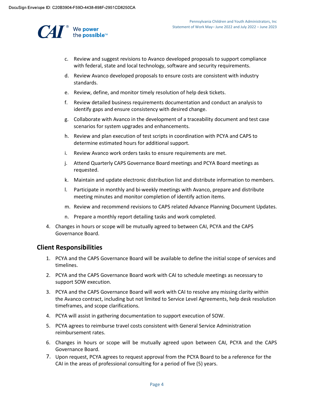

- c. Review and suggest revisions to Avanco developed proposals to support compliance with federal, state and local technology, software and security requirements.
- d. Review Avanco developed proposals to ensure costs are consistent with industry standards.
- e. Review, define, and monitor timely resolution of help desk tickets.
- f. Review detailed business requirements documentation and conduct an analysis to identify gaps and ensure consistency with desired change.
- g. Collaborate with Avanco in the development of a traceability document and test case scenarios for system upgrades and enhancements.
- h. Review and plan execution of test scripts in coordination with PCYA and CAPS to determine estimated hours for additional support.
- i. Review Avanco work orders tasks to ensure requirements are met.
- j. Attend Quarterly CAPS Governance Board meetings and PCYA Board meetings as requested.
- k. Maintain and update electronic distribution list and distribute information to members.
- l. Participate in monthly and bi-weekly meetings with Avanco, prepare and distribute meeting minutes and monitor completion of identify action items.
- m. Review and recommend revisions to CAPS related Advance Planning Document Updates.
- n. Prepare a monthly report detailing tasks and work completed.
- 4. Changes in hours or scope will be mutually agreed to between CAI, PCYA and the CAPS Governance Board.

#### Client Responsibilities

- 1. Review and plan execution of test scripts in coordination with PCYA and CAPS to<br>determine estimated hours for additional support.<br>
1. Review Avanco work orders tasks to ensure requirements are met.<br>
1. Retend Quarterly timelines.
- 2. PCYA and the CAPS Governance Board work with CAI to schedule meetings as necessary to support SOW execution.
- 3. PCYA and the CAPS Governance Board will work with CAI to resolve any missing clarity within the Avanco contract, including but not limited to Service Level Agreements, help desk resolution timeframes, and scope clarifications.
- 4. PCYA will assist in gathering documentation to support execution of SOW.
- 5. PCYA agrees to reimburse travel costs consistent with General Service Administration reimbursement rates.
- 6. Changes in hours or scope will be mutually agreed upon between CAI, PCYA and the CAPS Governance Board.
- 7. Upon request, PCYA agrees to request approval from the PCYA Board to be a reference for the CAI in the areas of professional consulting for a period of five (5) years.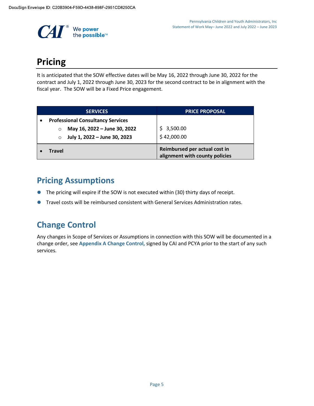

## Pricing

### Pricing Assumptions

- 
- Travel costs will be reimbursed consistent with General Services Administration rates.

### Change Control

Any changes in Scope of Services or Assumptions in connection with this SOW will be documented in a change order, see Appendix A Change Control, signed by CAI and PCYA prior to the start of any such services.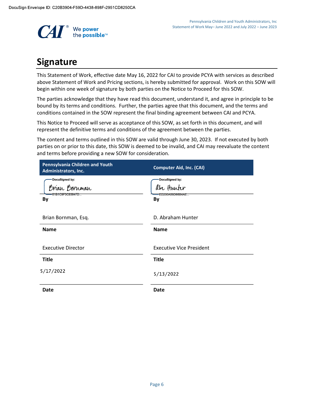

### **Signature**

This Statement of Work, effective date May 16, 2022 for CAI to provide PCYA with services as described above Statement of Work and Pricing sections, is hereby submitted for approval. Work on this SOW will begin within one week of signature by both parties on the Notice to Proceed for this SOW.

The parties acknowledge that they have read this document, understand it, and agree in principle to be bound by its terms and conditions. Further, the parties agree that this document, and the terms and conditions contained in the SOW represent the final binding agreement between CAI and PCYA.

This Notice to Proceed will serve as acceptance of this SOW, as set forth in this document, and will represent the definitive terms and conditions of the agreement between the parties.

The content and terms outlined in this SOW are valid through June 30, 2023. If not executed by both parties on or prior to this date, this SOW is deemed to be invalid, and CAI may reevaluate the content and terms before providing a new SOW for consideration.

| Pennsylvania Children and Youth<br>Administrators, Inc. | <b>Computer Aid, Inc. (CAI)</b> |
|---------------------------------------------------------|---------------------------------|
| DocuSigned by:                                          | DocuSigned by:                  |
| Brian Bornman                                           | abe Hunter                      |
| 61B1C9F3C83847D<br>By                                   | ED200A58D66B4AE<br>By           |
| Brian Bornman, Esq.                                     | D. Abraham Hunter               |
| <b>Name</b>                                             | <b>Name</b>                     |
| <b>Executive Director</b>                               | <b>Executive Vice President</b> |
| <b>Title</b>                                            | <b>Title</b>                    |
| 5/17/2022                                               | 5/13/2022                       |
| Date                                                    | Date                            |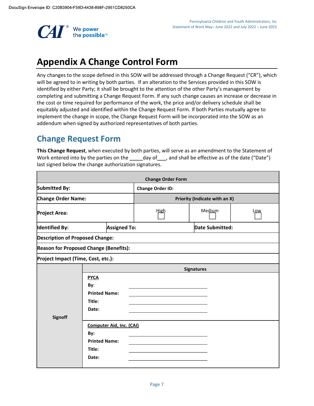

## Appendix A Change Control Form

Any changes to the scope defined in this SOW will be addressed through a Change Request ("CR"), which will be agreed to in writing by both parties. If an alteration to the Services provided in this SOW is identified by either Party; it shall be brought to the attention of the other Party's management by completing and submitting a Change Request Form. If any such change causes an increase or decrease in the cost or time required for performance of the work, the price and/or delivery schedule shall be equitably adjusted and identified within the Change Request Form. If both Parties mutually agree to implement the change in scope, the Change Request Form will be incorporated into the SOW as an addendum when signed by authorized representatives of both parties.

### Change Request Form

This Change Request, when executed by both parties, will serve as an amendment to the Statement of Work entered into by the parties on the \_\_\_\_\_ day of \_\_\_, and shall be effective as of the date ("Date") last signed below the change authorization signatures.

|                                               |                      |                                 | <b>Change Order Form</b> |        |            |  |  |  |
|-----------------------------------------------|----------------------|---------------------------------|--------------------------|--------|------------|--|--|--|
| Submitted By:                                 |                      |                                 | <b>Change Order ID:</b>  |        |            |  |  |  |
| <b>Change Order Name:</b>                     |                      | Priority (Indicate with an X)   |                          |        |            |  |  |  |
| <b>Project Area:</b>                          |                      |                                 | High                     | Medium | <u>Low</u> |  |  |  |
| <b>Assigned To:</b><br>Identified By:         |                      | Date Submitted:                 |                          |        |            |  |  |  |
| <b>Description of Proposed Change:</b>        |                      |                                 |                          |        |            |  |  |  |
| <b>Reason for Proposed Change (Benefits):</b> |                      |                                 |                          |        |            |  |  |  |
| Project Impact (Time, Cost, etc.):            |                      |                                 |                          |        |            |  |  |  |
|                                               | <b>Signatures</b>    |                                 |                          |        |            |  |  |  |
|                                               | <b>PYCA</b>          |                                 |                          |        |            |  |  |  |
|                                               | By:                  |                                 |                          |        |            |  |  |  |
| <b>Printed Name:</b>                          |                      |                                 |                          |        |            |  |  |  |
| Title:                                        |                      |                                 |                          |        |            |  |  |  |
|                                               | Date:                |                                 |                          |        |            |  |  |  |
| <b>Signoff</b>                                |                      | <b>Computer Aid, Inc. (CAI)</b> |                          |        |            |  |  |  |
|                                               | By:                  |                                 |                          |        |            |  |  |  |
|                                               | <b>Printed Name:</b> |                                 |                          |        |            |  |  |  |
|                                               | Title:               |                                 |                          |        |            |  |  |  |
|                                               | Date:                |                                 |                          |        |            |  |  |  |
|                                               |                      |                                 |                          |        |            |  |  |  |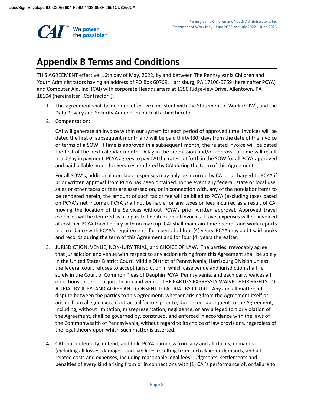

### Appendix B Terms and Conditions

THIS AGREEMENT effective 16th day of May, 2022, by and between The Pennsylvania Children and Youth Administrators having an address of PO Box 60769, Harrisburg, PA 17106-0769 (hereinafter PCYA) and Computer Aid, Inc, (CAI) with corporate Headquarters at 1390 Ridgeview Drive, Allentown, PA 18104 (hereinafter "Contractor").

- 1. This agreement shall be deemed effective consistent with the Statement of Work (SOW), and the Data Privacy and Security Addendum both attached hereto.
- 2. Compensation:

CAI will generate an invoice within our system for each period of approved time. Invoices will be dated the first of subsequent month and will be paid thirty (30) days from the date of the invoice or terms of a SOW. If time is approved in a subsequent month, the related invoice will be dated the first of the next calendar month. Delay in the submission and/or approval of time will result in a delay in payment. PCYA agrees to pay CAI the rates set forth in the SOW for all PCYA-approved and paid billable hours for Services rendered by CAI during the term of this Agreement.

For all SOW's, additional non-labor expenses may only be incurred by CAI and charged to PCYA if prior written approval from PCYA has been obtained. In the event any federal, state or local use, sales or other taxes or fees are assessed on, or in connection with, any of the non-labor items to be rendered herein, the amount of such tax or fee will be billed to PCYA (excluding taxes based on PCYA's net income). PCYA shall not be liable for any taxes or fees incurred as a result of CAI moving the location of the Services without PCYA's prior written approval. Approved travel expenses will be itemized as a separate line item on all invoices. Travel expenses will be invoiced at cost per PCYA travel policy with no markup. CAI shall maintain time records and work reports in accordance with PCYA's requirements for a period of four (4) years. PCYA may audit said books and records during the term of this Agreement and for four (4) years thereafter.

- 3. JURISDICTION; VENUE; NON-JURY TRIAL; and CHOICE OF LAW. The parties irrevocably agree that jurisdiction and venue with respect to any action arising from this Agreement shall be solely in the United States District Court, Middle District of Pennsylvania, Harrisburg Division unless the federal court refuses to accept jurisdiction in which case venue and jurisdiction shall lie solely in the Court of Common Pleas of Dauphin PCYA, Pennsylvania, and each party waives all objections to personal jurisdiction and venue. THE PARTIES EXPRESSLY WAIVE THEIR RIGHTS TO A TRIAL BY JURY, AND AGREE AND CONSENT TO A TRIAL BY COURT. Any and all matters of dispute between the parties to this Agreement, whether arising from the Agreement itself or arising from alleged extra contractual factors prior to, during, or subsequent to the Agreement, including, without limitation, misrepresentation, negligence, or any alleged tort or violation of the Agreement, shall be governed by, construed, and enforced in accordance with the laws of the Commonwealth of Pennsylvania, without regard to its choice of law provisions, regardless of the legal theory upon which such matter is asserted.
- 4. CAI shall indemnify, defend, and hold PCYA harmless from any and all claims, demands (including all losses, damages, and liabilities resulting from such claim or demands, and all related costs and expenses, including reasonable legal fees) judgments, settlements and penalties of every kind arising from or in connections with (1) CAI's performance of, or failure to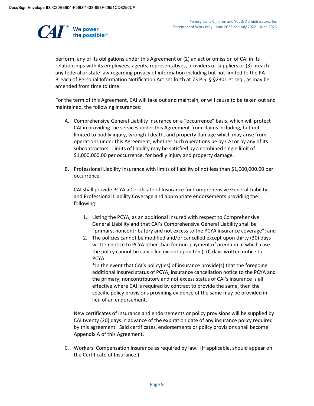

perform, any of its obligations under this Agreement or (2) an act or omission of CAI in its relationships with its employees, agents, representatives, providers or suppliers or (3) breach any federal or state law regarding privacy of information including but not limited to the PA Breach of Personal Information Notification Act set forth at 73 P.S. § §2301 et seq., as may be amended from time to time.

For the term of this Agreement, CAI will take out and maintain, or will cause to be taken out and maintained, the following insurances:

- A. Comprehensive General Liability Insurance on a "occurrence" basis, which will protect CAI in providing the services under this Agreement from claims including, but not limited to bodily injury, wrongful death, and property damage which may arise from operations under this Agreement, whether such operations be by CAI or by any of its subcontractors. Limits of liability may be satisfied by a combined single limit of \$1,000,000.00 per occurrence, for bodily injury and property damage.
- B. Professional Liability Insurance with limits of liability of not less than \$1,000,000.00 per occurrence.

CAI shall provide PCYA a Certificate of Insurance for Comprehensive General Liability and Professional Liability Coverage and appropriate endorsements providing the following:

- 1. Listing the PCYA, as an additional insured with respect to Comprehensive General Liability and that CAI's Comprehensive General Liability shall be "primary, noncontributory and not excess to the PCYA insurance coverage"; and
- 2. The policies cannot be modified and/or cancelled except upon thirty (30) days written notice to PCYA other than for non-payment of premium in which case the policy cannot be cancelled except upon ten (10) days written notice to PCYA.

\*In the event that CAI's policy(ies) of insurance provide(s) that the foregoing additional insured status of PCYA, insurance cancellation notice to the PCYA and the primary, noncontributory and not excess status of CAI's insurance is all effective where CAI is required by contract to provide the same, then the specific policy provisions providing evidence of the same may be provided in lieu of an endorsement.

New certificates of insurance and endorsements or policy provisions will be supplied by CAI twenty (20) days in advance of the expiration date of any insurance policy required by this agreement. Said certificates, endorsements or policy provisions shall become Appendix A of this Agreement.

C. Workers' Compensation Insurance as required by law. (If applicable, should appear on the Certificate of Insurance.)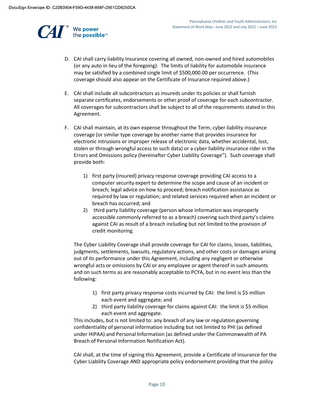

- D. CAI shall carry liability Insurance covering all owned, non-owned and hired automobiles (or any auto in lieu of the foregoing). The limits of liability for automobile insurance may be satisfied by a combined single limit of \$500,000.00 per occurrence. (This coverage should also appear on the Certificate of Insurance required above.)
- E. CAI shall include all subcontractors as insureds under its policies or shall furnish separate certificates, endorsements or other proof of coverage for each subcontractor. All coverages for subcontractors shall be subject to all of the requirements stated in this Agreement.
- F. CAI shall maintain, at its own expense throughout the Term, cyber liability insurance coverage (or similar type coverage by another name that provides insurance for electronic intrusions or improper release of electronic data, whether accidental, lost, stolen or through wrongful access to such data) or a cyber liability insurance rider in the Errors and Omissions policy (hereinafter Cyber Liability Coverage"). Such coverage shall provide both:
	- 1) first party (insured) privacy response coverage providing CAI access to a computer security expert to determine the scope and cause of an incident or breach; legal advice on how to proceed; breach notification assistance as required by law or regulation; and related services required when an incident or breach has occurred; and
	- 2) third party liability coverage (person whose information was improperly accessible commonly referred to as a breach) covering such third party's claims against CAI as result of a breach including but not limited to the provision of credit monitoring.

The Cyber Liability Coverage shall provide coverage for CAI for claims, losses, liabilities, judgments, settlements, lawsuits, regulatory actions, and other costs or damages arising out of its performance under this Agreement, including any negligent or otherwise wrongful acts or omissions by CAI or any employee or agent thereof in such amounts and on such terms as are reasonably acceptable to PCYA, but in no event less than the following:

- 1) first party privacy response costs incurred by CAI: the limit is \$5 million each event and aggregate; and
- 2) third party liability coverage for claims against CAI: the limit is \$5 million each event and aggregate.

This includes, but is not limited to: any breach of any law or regulation governing confidentiality of personal information including but not limited to PHI (as defined under HIPAA) and Personal Information (as defined under the Commonwealth of PA Breach of Personal Information Notification Act).

CAI shall, at the time of signing this Agreement, provide a Certificate of Insurance for the Cyber Liability Coverage AND appropriate policy endorsement providing that the policy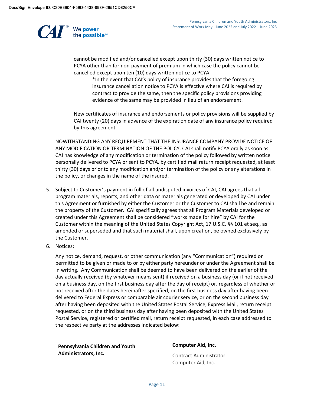

cannot be modified and/or cancelled except upon thirty (30) days written notice to PCYA other than for non-payment of premium in which case the policy cannot be cancelled except upon ten (10) days written notice to PCYA.

\*In the event that CAI's policy of insurance provides that the foregoing insurance cancellation notice to PCYA is effective where CAI is required by contract to provide the same, then the specific policy provisions providing evidence of the same may be provided in lieu of an endorsement.

New certificates of insurance and endorsements or policy provisions will be supplied by CAI twenty (20) days in advance of the expiration date of any insurance policy required by this agreement.

NOWITHSTANDING ANY REQUIREMENT THAT THE INSURANCE COMPANY PROVIDE NOTICE OF ANY MODIFICATION OR TERMINATION OF THE POLICY, CAI shall notify PCYA orally as soon as CAI has knowledge of any modification or termination of the policy followed by written notice personally delivered to PCYA or sent to PCYA, by certified mail return receipt requested, at least thirty (30) days prior to any modification and/or termination of the policy or any alterations in the policy, or changes in the name of the insured.

- 5. Subject to Customer's payment in full of all undisputed invoices of CAI, CAI agrees that all program materials, reports, and other data or materials generated or developed by CAI under this Agreement or furnished by either the Customer or the Customer to CAI shall be and remain the property of the Customer. CAI specifically agrees that all Program Materials developed or created under this Agreement shall be considered "works made for hire" by CAI for the Customer within the meaning of the United States Copyright Act, 17 U.S.C. §§ 101 et seq., as amended or superseded and that such material shall, upon creation, be owned exclusively by the Customer.
- 6. Notices:

Any notice, demand, request, or other communication (any "Communication") required or permitted to be given or made to or by either party hereunder or under the Agreement shall be in writing. Any Communication shall be deemed to have been delivered on the earlier of the day actually received (by whatever means sent) if received on a business day (or if not received on a business day, on the first business day after the day of receipt) or, regardless of whether or not received after the dates hereinafter specified, on the first business day after having been delivered to Federal Express or comparable air courier service, or on the second business day after having been deposited with the United States Postal Service, Express Mail, return receipt requested, or on the third business day after having been deposited with the United States Postal Service, registered or certified mail, return receipt requested, in each case addressed to the respective party at the addresses indicated below:

Pennsylvania Children and Youth Administrators, Inc.

#### Computer Aid, Inc.

Contract Administrator Computer Aid, Inc.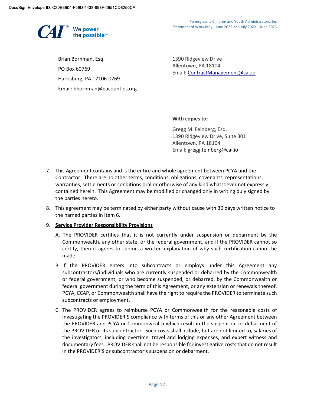

Brian Bornman, Esq. PO Box 60769 Harrisburg, PA 17106-0769 Email: bbornman@pacounties.org 1390 Ridgeview Drive Allentown, PA 18104 Email: ContractManagement@cai.io

With copies to:

Gregg M. Feinberg, Esq. 1390 Ridgeview Drive, Suite 301 Allentown, PA 18104 Email: gregg.feinberg@cai.io

- 7. This Agreement contains and is the entire and whole agreement between PCYA and the Contractor. There are no other terms, conditions, obligations, covenants, representations, warranties, settlements or conditions oral or otherwise of any kind whatsoever not expressly contained herein. This Agreement may be modified or changed only in writing duly signed by the parties hereto.
- 8. This agreement may be terminated by either party without cause with 30 days written notice to the named parties in Item 6.

#### 9. Service Provider Responsibility Provisions

- A. The PROVIDER certifies that it is not currently under suspension or debarment by the Commonwealth, any other state, or the federal government, and if the PROVIDER cannot so certify, then it agrees to submit a written explanation of why such certification cannot be made.
- B. If the PROVIDER enters into subcontracts or employs under this Agreement any subcontractors/individuals who are currently suspended or debarred by the Commonwealth or federal government, or who become suspended, or debarred, by the Commonwealth or federal government during the term of this Agreement, or any extension or renewals thereof, PCYA, CCAP, or Commonwealth shall have the right to require the PROVIDER to terminate such subcontracts or employment.
- C. The PROVIDER agrees to reimburse PCYA or Commonwealth for the reasonable costs of investigating the PROVIDER'S compliance with terms of this or any other Agreement between the PROVIDER and PCYA or Commonwealth which result in the suspension or debarment of the PROVIDER or its subcontractor. Such costs shall include, but are not limited to, salaries of the investigators, including overtime, travel and lodging expenses, and expert witness and documentary fees. PROVIDER shall not be responsible for investigative costs that do not result in the PROVIDER'S or subcontractor's suspension or debarment.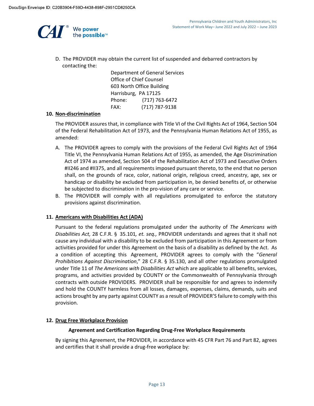

D. The PROVIDER may obtain the current list of suspended and debarred contractors by contacting the:

> Department of General Services Office of Chief Counsel 603 North Office Building Harrisburg, PA 17125 Phone: (717) 763-6472 FAX: (717) 787-9138

10. C20B3904-F59D-4438-898F-2951CD8250CA<br>
10. The PROVIDER may obtain the current list of suspended and debarred<br>
10. The PROVIDER may obtain the current list of suspended and debarred<br>
10. The PROVIDER may obtain the curr The PROVIDER assures that, in compliance with Title VI of the Civil Rights Act of 1964, Section 504 of the Federal Rehabilitation Act of 1973, and the Pennsylvania Human Relations Act of 1955, as amended:

- A. The PROVIDER agrees to comply with the provisions of the Federal Civil Rights Act of 1964 Title VI, the Pennsylvania Human Relations Act of 1955, as amended, the Age Discrimination Act of 1974 as amended, Section 504 of the Rehabilitation Act of 1973 and Executive Orders #II246 and #II375, and all requirements imposed pursuant thereto, to the end that no person shall, on the grounds of race, color, national origin, religious creed, ancestry, age, sex or handicap or disability be excluded from participation in, be denied benefits of, or otherwise be subjected to discrimination in the pro-vision of any care or service.
- B. The PROVIDER will comply with all regulations promulgated to enforce the statutory provisions against discrimination.

#### 11. Americans with Disabilities Act (ADA)

Pursuant to the federal regulations promulgated under the authority of The Americans with Disabilities Act, 28 C.F.R. § 35.101, et. seq., PROVIDER understands and agrees that it shall not cause any individual with a disability to be excluded from participation in this Agreement or from activities provided for under this Agreement on the basis of a disability as defined by the Act. As a condition of accepting this Agreement, PROVIDER agrees to comply with the "General Prohibitions Against Discrimination," 28 C.F.R. § 35.130, and all other regulations promulgated under Title 11 of The Americans with Disabilities Act which are applicable to all benefits, services, programs, and activities provided by COUNTY or the Commonwealth of Pennsylvania through contracts with outside PROVIDERS. PROVIDER shall be responsible for and agrees to indemnify and hold the COUNTY harmless from all losses, damages, expenses, claims, demands, suits and actions brought by any party against COUNTY as a result of PROVIDER'S failure to comply with this provision.

#### 12. Drug Free Workplace Provision

#### Agreement and Certification Regarding Drug-Free Workplace Requirements

By signing this Agreement, the PROVIDER, in accordance with 45 CFR Part 76 and Part 82, agrees and certifies that it shall provide a drug-free workplace by: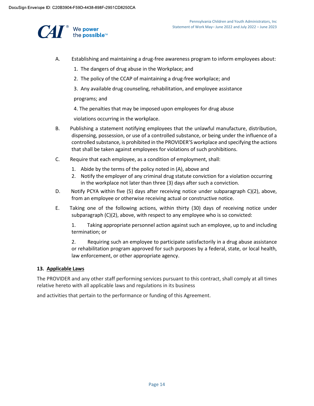

- A. Establishing and maintaining a drug-free awareness program to inform employees about:
	- 1. The dangers of drug abuse in the Workplace; and
	- 2. The policy of the CCAP of maintaining a drug-free workplace; and
	- 3. Any available drug counseling, rehabilitation, and employee assistance

programs; and

4. The penalties that may be imposed upon employees for drug abuse

violations occurring in the workplace.

- B. Publishing a statement notifying employees that the unlawful manufacture, distribution, dispensing, possession, or use of a controlled substance, or being under the influence of a controlled substance, is prohibited in the PROVIDER'S workplace and specifying the actions that shall be taken against employees for violations of such prohibitions.
- C. Require that each employee, as a condition of employment, shall:
	- 1. Abide by the terms of the policy noted in (A), above and
	- 2. Notify the employer of any criminal drug statute conviction for a violation occurring in the workplace not later than three (3) days after such a conviction.
- D. Notify PCYA within five (5) days after receiving notice under subparagraph C)(2), above, from an employee or otherwise receiving actual or constructive notice.
- E. Taking one of the following actions, within thirty (30) days of receiving notice under subparagraph (C)(2), above, with respect to any employee who is so convicted:

1. Taking appropriate personnel action against such an employee, up to and including termination; or

2. Requiring such an employee to participate satisfactorily in a drug abuse assistance or rehabilitation program approved for such purposes by a federal, state, or local health, law enforcement, or other appropriate agency. controlled substance, is prohibited in the PROVIDER'S workplace<br>
that shall be taken against employees for violations of such pre<br>
C. Require that each employee, as a condition of employment, shall<br>
1. Abide by the terms o

The PROVIDER and any other staff performing services pursuant to this contract, shall comply at all times relative hereto with all applicable laws and regulations in its business

and activities that pertain to the performance or funding of this Agreement.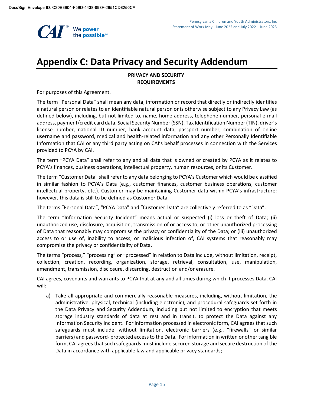

### Appendix C: Data Privacy and Security Addendum

#### PRIVACY AND SECURITY REQUIREMENTS

For purposes of this Agreement.

The term "Personal Data" shall mean any data, information or record that directly or indirectly identifies a natural person or relates to an identifiable natural person or is otherwise subject to any Privacy Law (as defined below), including, but not limited to, name, home address, telephone number, personal e-mail address, payment/credit card data, Social Security Number (SSN), Tax Identification Number (TIN), driver's license number, national ID number, bank account data, passport number, combination of online username and password, medical and health-related information and any other Personally Identifiable Information that CAI or any third party acting on CAI's behalf processes in connection with the Services provided to PCYA by CAI.

The term "PCYA Data" shall refer to any and all data that is owned or created by PCYA as it relates to PCYA's finances, business operations, intellectual property, human resources, or its Customer.

The term "Customer Data" shall refer to any data belonging to PCYA's Customer which would be classified in similar fashion to PCYA's Data (e.g., customer finances, customer business operations, customer intellectual property, etc.). Customer may be maintaining Customer data within PCYA's infrastructure; however, this data is still to be defined as Customer Data.

The terms "Personal Data", "PCYA Data" and "Customer Data" are collectively referred to as "Data".

The term "Information Security Incident" means actual or suspected (i) loss or theft of Data; (ii) unauthorized use, disclosure, acquisition, transmission of or access to, or other unauthorized processing of Data that reasonably may compromise the privacy or confidentiality of the Data; or (iii) unauthorized access to or use of, inability to access, or malicious infection of, CAI systems that reasonably may compromise the privacy or confidentiality of Data.

The terms "process," "processing" or "processed" in relation to Data include, without limitation, receipt, collection, creation, recording, organization, storage, retrieval, consultation, use, manipulation, amendment, transmission, disclosure, discarding, destruction and/or erasure.

CAI agrees, covenants and warrants to PCYA that at any and all times during which it processes Data, CAI will:

a) Take all appropriate and commercially reasonable measures, including, without limitation, the administrative, physical, technical (including electronic), and procedural safeguards set forth in the Data Privacy and Security Addendum, including but not limited to encryption that meets storage industry standards of data at rest and in transit, to protect the Data against any Information Security Incident. For information processed in electronic form, CAI agrees that such safeguards must include, without limitation, electronic barriers (e.g., "firewalls" or similar barriers) and password- protected access to the Data. For information in written or other tangible form, CAI agrees that such safeguards must include secured storage and secure destruction of the Data in accordance with applicable law and applicable privacy standards;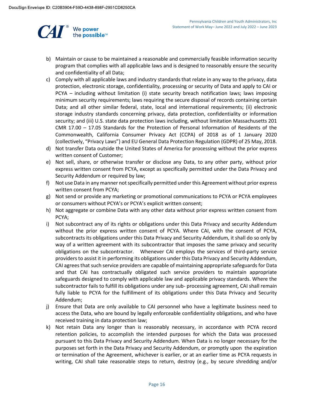

- b) Maintain or cause to be maintained a reasonable and commercially feasible information security program that complies with all applicable laws and is designed to reasonably ensure the security and confidentiality of all Data;
- c) Comply with all applicable laws and industry standards that relate in any way to the privacy, data protection, electronic storage, confidentiality, processing or security of Data and apply to CAI or Pennsylvania Children and Youth Administrators, Inc<br>
Pennsylvania Children and Youth Administrators, Inc<br>
the possible<sup>ns</sup><br>
Maintain or cause to be maintained a reasonable and commercially feasible information security<br>
pr minimum security requirements; laws requiring the secure disposal of records containing certain Data; and all other similar federal, state, local and international requirements; (ii) electronic storage industry standards concerning privacy, data protection, confidentiality or information security; and (iii) U.S. state data protection laws including, without limitation Massachusetts 201 CMR 17.00 – 17.05 Standards for the Protection of Personal Information of Residents of the Commonwealth, California Consumer Privacy Act (CCPA) of 2018 as of 1 January 2020 (collectively, "Privacy Laws") and EU General Data Protection Regulation (GDPR) of 25 May, 2018.
- d) Not transfer Data outside the United States of America for processing without the prior express written consent of Customer;
- e) Not sell, share, or otherwise transfer or disclose any Data, to any other party, without prior express written consent from PCYA, except as specifically permitted under the Data Privacy and Security Addendum or required by law;
- f) Not use Data in any manner not specifically permitted under this Agreement without prior express written consent from PCYA;
- g) Not send or provide any marketing or promotional communications to PCYA or PCYA employees or consumers without PCYA's or PCYA's explicit written consent;
- h) Not aggregate or combine Data with any other data without prior express written consent from PCYA;
- i) Not subcontract any of its rights or obligations under this Data Privacy and security Addendum without the prior express written consent of PCYA. Where CAI, with the consent of PCYA, subcontracts its obligations under this Data Privacy and Security Addendum, it shall do so only by way of a written agreement with its subcontractor that imposes the same privacy and security obligations on the subcontractor. Whenever CAI employs the services of third-party service providers to assist it in performing its obligations under this Data Privacy and Security Addendum, CAI agrees that such service providers are capable of maintaining appropriate safeguards for Data and that CAI has contractually obligated such service providers to maintain appropriate safeguards designed to comply with applicable law and applicable privacy standards. Where the subcontractor fails to fulfill its obligations under any sub- processing agreement, CAI shall remain fully liable to PCYA for the fulfillment of its obligations under this Data Privacy and Security Addendum;
- j) Ensure that Data are only available to CAI personnel who have a legitimate business need to access the Data, who are bound by legally enforceable confidentiality obligations, and who have received training in data protection law;
- k) Not retain Data any longer than is reasonably necessary, in accordance with PCYA record retention policies, to accomplish the intended purposes for which the Data was processed pursuant to this Data Privacy and Security Addendum. When Data is no longer necessary for the purposes set forth in the Data Privacy and Security Addendum, or promptly upon the expiration or termination of the Agreement, whichever is earlier, or at an earlier time as PCYA requests in writing, CAI shall take reasonable steps to return, destroy (e.g., by secure shredding and/or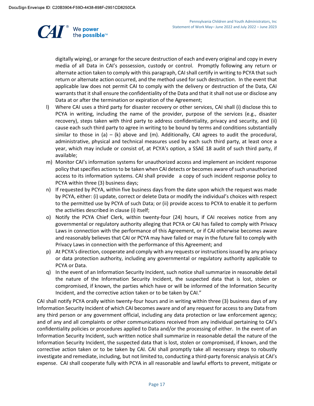

digitally wiping), or arrange for the secure destruction of each and every original and copy in every media of all Data in CAI's possession, custody or control. Promptly following any return or alternate action taken to comply with this paragraph, CAI shall certify in writing to PCYA that such return or alternate action occurred, and the method used for such destruction. In the event that applicable law does not permit CAI to comply with the delivery or destruction of the Data, CAI warrants that it shall ensure the confidentiality of the Data and that it shall not use or disclose any Data at or after the termination or expiration of the Agreement;

- l) Where CAI uses a third party for disaster recovery or other services, CAI shall (i) disclose this to PCYA in writing, including the name of the provider, purpose of the services (e.g., disaster recovery), steps taken with third party to address confidentiality, privacy and security, and (ii) cause each such third party to agree in writing to be bound by terms and conditions substantially similar to those in (a) – (k) above and (m). Additionally, CAI agrees to audit the procedural, administrative, physical and technical measures used by each such third party, at least once a year, which may include or consist of, at PCYA's option, a SSAE 18 audit of such third party, if available;
- m) Monitor CAI's information systems for unauthorized access and implement an incident response policy that specifies actions to be taken when CAI detects or becomes aware of such unauthorized access to its information systems. CAI shall provide a copy of such incident response policy to PCYA within three (3) business days;
- n) If requested by PCYA, within five business days from the date upon which the request was made by PCYA, either: (i) update, correct or delete Data or modify the individual's choices with respect to the permitted use by PCYA of such Data; or (ii) provide access to PCYA to enable it to perform the activities described in clause (i) itself;
- o) Notify the PCYA Chief Clerk, within twenty-four (24) hours, if CAI receives notice from any governmental or regulatory authority alleging that PCYA or CAI has failed to comply with Privacy Laws in connection with the performance of this Agreement, or if CAI otherwise becomes aware and reasonably believes that CAI or PCYA may have failed or may in the future fail to comply with Privacy Laws in connection with the performance of this Agreement; and
- p) At PCYA's direction, cooperate and comply with any requests or instructions issued by any privacy or data protection authority, including any governmental or regulatory authority applicable to PCYA or Data.
- q) In the event of an Information Security Incident, such notice shall summarize in reasonable detail the nature of the Information Security Incident, the suspected data that is lost, stolen or compromised, if known, the parties which have or will be informed of the Information Security Incident, and the corrective action taken or to be taken by CAI."

CAI shall notify PCYA orally within twenty-four hours and in writing within three (3) business days of any Information Security Incident of which CAI becomes aware and of any request for access to any Data from any third person or any government official, including any data protection or law enforcement agency; and of any and all complaints or other communications received from any individual pertaining to CAI's confidentiality policies or procedures applied to Data and/or the processing of either. In the event of an Information Security Incident, such written notice shall summarize in reasonable detail the nature of the Information Security Incident, the suspected data that is lost, stolen or compromised, if known, and the corrective action taken or to be taken by CAI. CAI shall promptly take all necessary steps to robustly investigate and remediate, including, but not limited to, conducting a third-party forensic analysis at CAI's expense. CAI shall cooperate fully with PCYA in all reasonable and lawful efforts to prevent, mitigate or